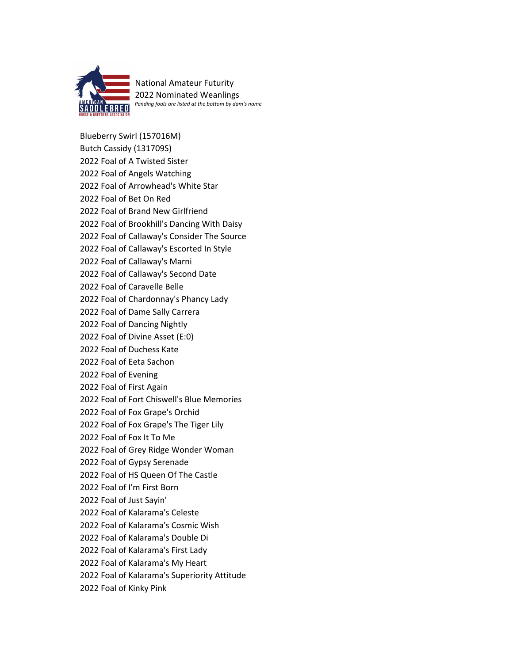

National Amateur Futurity 2022 Nominated Weanlings *Pending foals are listed at the bottom by dam's name*

Blueberry Swirl (157016M) Butch Cassidy (131709S) 2022 Foal of A Twisted Sister 2022 Foal of Angels Watching 2022 Foal of Arrowhead's White Star 2022 Foal of Bet On Red 2022 Foal of Brand New Girlfriend 2022 Foal of Brookhill's Dancing With Daisy 2022 Foal of Callaway's Consider The Source 2022 Foal of Callaway's Escorted In Style 2022 Foal of Callaway's Marni 2022 Foal of Callaway's Second Date 2022 Foal of Caravelle Belle 2022 Foal of Chardonnay's Phancy Lady 2022 Foal of Dame Sally Carrera 2022 Foal of Dancing Nightly 2022 Foal of Divine Asset (E:0) 2022 Foal of Duchess Kate 2022 Foal of Eeta Sachon 2022 Foal of Evening 2022 Foal of First Again 2022 Foal of Fort Chiswell's Blue Memories 2022 Foal of Fox Grape's Orchid 2022 Foal of Fox Grape's The Tiger Lily 2022 Foal of Fox It To Me 2022 Foal of Grey Ridge Wonder Woman 2022 Foal of Gypsy Serenade 2022 Foal of HS Queen Of The Castle 2022 Foal of I'm First Born 2022 Foal of Just Sayin' 2022 Foal of Kalarama's Celeste 2022 Foal of Kalarama's Cosmic Wish 2022 Foal of Kalarama's Double Di 2022 Foal of Kalarama's First Lady 2022 Foal of Kalarama's My Heart 2022 Foal of Kalarama's Superiority Attitude 2022 Foal of Kinky Pink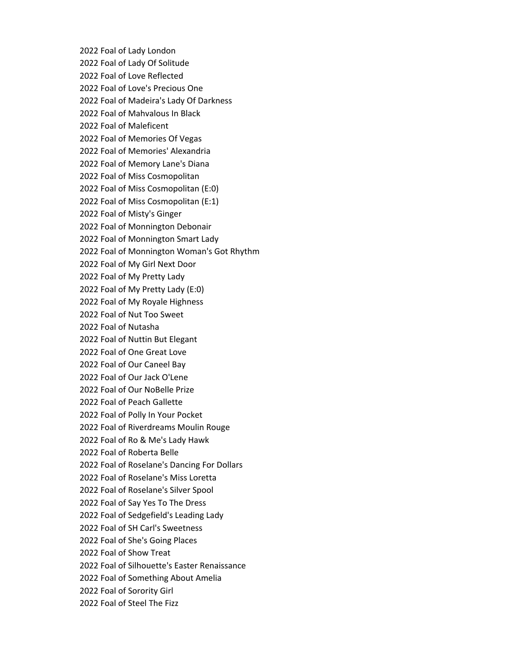2022 Foal of Lady London 2022 Foal of Lady Of Solitude 2022 Foal of Love Reflected 2022 Foal of Love's Precious One 2022 Foal of Madeira's Lady Of Darkness 2022 Foal of Mahvalous In Black 2022 Foal of Maleficent 2022 Foal of Memories Of Vegas 2022 Foal of Memories' Alexandria 2022 Foal of Memory Lane's Diana 2022 Foal of Miss Cosmopolitan 2022 Foal of Miss Cosmopolitan (E:0) 2022 Foal of Miss Cosmopolitan (E:1) 2022 Foal of Misty's Ginger 2022 Foal of Monnington Debonair 2022 Foal of Monnington Smart Lady 2022 Foal of Monnington Woman's Got Rhythm 2022 Foal of My Girl Next Door 2022 Foal of My Pretty Lady 2022 Foal of My Pretty Lady (E:0) 2022 Foal of My Royale Highness 2022 Foal of Nut Too Sweet 2022 Foal of Nutasha 2022 Foal of Nuttin But Elegant 2022 Foal of One Great Love 2022 Foal of Our Caneel Bay 2022 Foal of Our Jack O'Lene 2022 Foal of Our NoBelle Prize 2022 Foal of Peach Gallette 2022 Foal of Polly In Your Pocket 2022 Foal of Riverdreams Moulin Rouge 2022 Foal of Ro & Me's Lady Hawk 2022 Foal of Roberta Belle 2022 Foal of Roselane's Dancing For Dollars 2022 Foal of Roselane's Miss Loretta 2022 Foal of Roselane's Silver Spool 2022 Foal of Say Yes To The Dress 2022 Foal of Sedgefield's Leading Lady 2022 Foal of SH Carl's Sweetness 2022 Foal of She's Going Places 2022 Foal of Show Treat 2022 Foal of Silhouette's Easter Renaissance 2022 Foal of Something About Amelia 2022 Foal of Sorority Girl 2022 Foal of Steel The Fizz